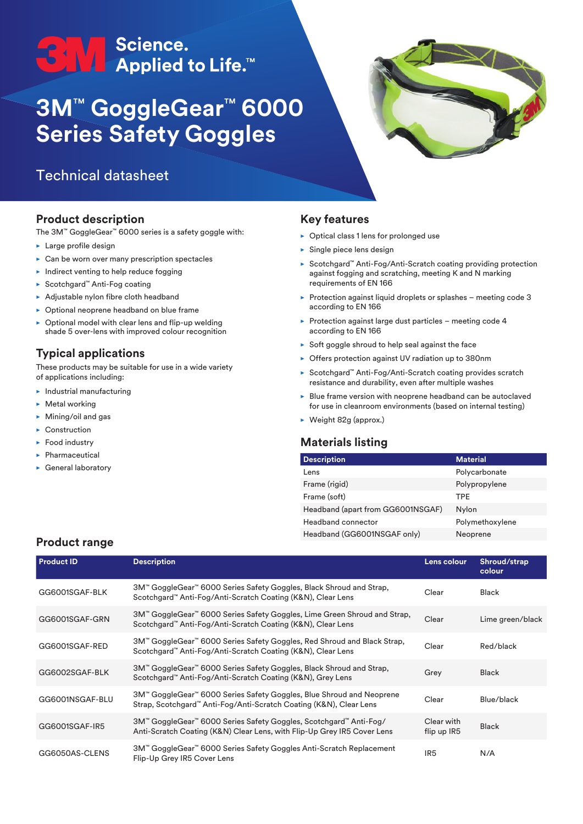# <del>●</del><br>● ● ● Applied to Life.™

## **3M**™ **GoggleGear**™ **6000 Series Safety Goggles**

### Technical datasheet

#### **Product description**

The 3M™ GoggleGear™ 6000 series is a safety goggle with:

- $\blacktriangleright$  Large profile design
- $\triangleright$  Can be worn over many prescription spectacles
- $\blacktriangleright$  Indirect venting to help reduce fogging
- ► Scotchgard™ Anti-Fog coating
- $\blacktriangleright$  Adjustable nylon fibre cloth headband
- $\triangleright$  Optional neoprene headband on blue frame
- Optional model with clear lens and flip-up welding shade 5 over-lens with improved colour recognition

#### **Typical applications**

These products may be suitable for use in a wide variety of applications including:

- $\blacktriangleright$  Industrial manufacturing
- $\blacktriangleright$  Metal working
- $\blacktriangleright$  Mining/oil and gas
- $\blacktriangleright$  Construction
- $\blacktriangleright$  Food industry
- $\blacktriangleright$  Pharmaceutical
- $\blacktriangleright$  General laboratory

#### **Key features**

- $\triangleright$  Optical class 1 lens for prolonged use
- $\blacktriangleright$  Single piece lens design
- ► Scotchgard™ Anti-Fog/Anti-Scratch coating providing protection against fogging and scratching, meeting K and N marking requirements of EN 166
- $\triangleright$  Protection against liquid droplets or splashes meeting code 3 according to EN 166
- $\triangleright$  Protection against large dust particles meeting code 4 according to EN 166
- $\triangleright$  Soft goggle shroud to help seal against the face
- ▶ Offers protection against UV radiation up to 380nm
- Scotchgard™ Anti-Fog/Anti-Scratch coating provides scratch resistance and durability, even after multiple washes
- $\triangleright$  Blue frame version with neoprene headband can be autoclaved for use in cleanroom environments (based on internal testing)
- $\triangleright$  Weight 82g (approx.)

#### **Materials listing**

| <b>Description</b>                | <b>Material</b> |
|-----------------------------------|-----------------|
| Lens                              | Polycarbonate   |
| Frame (rigid)                     | Polypropylene   |
| Frame (soft)                      | TPF             |
| Headband (apart from GG6001NSGAF) | Nylon           |
| <b>Headband connector</b>         | Polymethoxylene |
| Headband (GG6001NSGAF only)       | Neoprene        |

#### **Product range**

| <b>Product ID</b> | <b>Description</b>                                                                                                                           | Lens colour               | Shroud/strap<br>colour |
|-------------------|----------------------------------------------------------------------------------------------------------------------------------------------|---------------------------|------------------------|
| GG6001SGAF-BLK    | 3M™ GoggleGear™ 6000 Series Safety Goggles, Black Shroud and Strap,<br>Scotchgard™ Anti-Fog/Anti-Scratch Coating (K&N), Clear Lens           | Clear                     | Black                  |
| GG6001SGAF-GRN    | 3M™ GoggleGear™ 6000 Series Safety Goggles, Lime Green Shroud and Strap,<br>Scotchgard™ Anti-Fog/Anti-Scratch Coating (K&N), Clear Lens      | Clear                     | Lime green/black       |
| GG6001SGAF-RED    | 3M™ GoggleGear™ 6000 Series Safety Goggles, Red Shroud and Black Strap,<br>Scotchgard™ Anti-Fog/Anti-Scratch Coating (K&N), Clear Lens       | Clear                     | Red/black              |
| GG6002SGAF-BLK    | 3M™ GoggleGear™ 6000 Series Safety Goggles, Black Shroud and Strap,<br>Scotchgard™ Anti-Fog/Anti-Scratch Coating (K&N), Grey Lens            | Grey                      | Black                  |
| GG6001NSGAF-BLU   | 3M™ GoggleGear™ 6000 Series Safety Goggles, Blue Shroud and Neoprene<br>Strap, Scotchgard™ Anti-Fog/Anti-Scratch Coating (K&N), Clear Lens   | Clear                     | Blue/black             |
| GG6001SGAF-IR5    | 3M™ GoggleGear™ 6000 Series Safety Goggles, Scotchgard™ Anti-Fog/<br>Anti-Scratch Coating (K&N) Clear Lens, with Flip-Up Grey IR5 Cover Lens | Clear with<br>flip up IR5 | <b>Black</b>           |
| GG6050AS-CLENS    | 3M™ GoggleGear™ 6000 Series Safety Goggles Anti-Scratch Replacement<br>Flip-Up Grey IR5 Cover Lens                                           | IR <sub>5</sub>           | N/A                    |